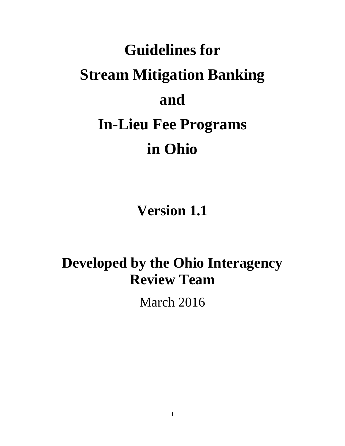# **Guidelines for Stream Mitigation Banking and In-Lieu Fee Programs in Ohio**

**Version 1.1**

## **Developed by the Ohio Interagency Review Team**

March 2016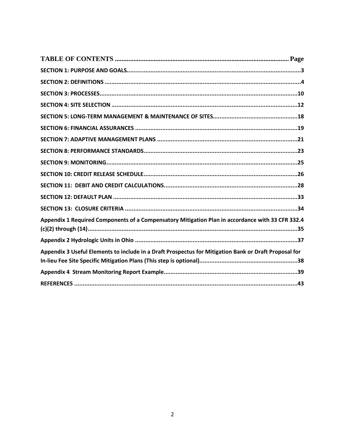| Appendix 1 Required Components of a Compensatory Mitigation Plan in accordance with 33 CFR 332.4      |  |
|-------------------------------------------------------------------------------------------------------|--|
|                                                                                                       |  |
| Appendix 3 Useful Elements to include in a Draft Prospectus for Mitigation Bank or Draft Proposal for |  |
|                                                                                                       |  |
|                                                                                                       |  |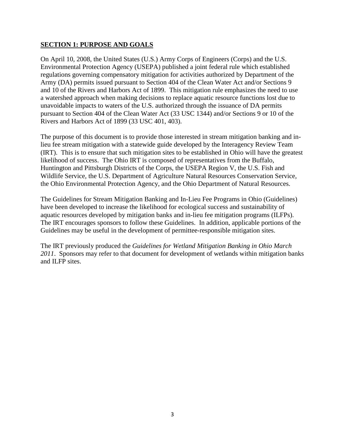#### <span id="page-2-0"></span>**SECTION 1: PURPOSE AND GOALS**

On April 10, 2008, the United States (U.S.) Army Corps of Engineers (Corps) and the U.S. Environmental Protection Agency (USEPA) published a joint federal rule which established regulations governing compensatory mitigation for activities authorized by Department of the Army (DA) permits issued pursuant to Section 404 of the Clean Water Act and/or Sections 9 and 10 of the Rivers and Harbors Act of 1899. This mitigation rule emphasizes the need to use a watershed approach when making decisions to replace aquatic resource functions lost due to unavoidable impacts to waters of the U.S. authorized through the issuance of DA permits pursuant to Section 404 of the Clean Water Act (33 USC 1344) and/or Sections 9 or 10 of the Rivers and Harbors Act of 1899 (33 USC 401, 403).

The purpose of this document is to provide those interested in stream mitigation banking and inlieu fee stream mitigation with a statewide guide developed by the Interagency Review Team (IRT). This is to ensure that such mitigation sites to be established in Ohio will have the greatest likelihood of success. The Ohio IRT is composed of representatives from the Buffalo, Huntington and Pittsburgh Districts of the Corps, the USEPA Region V, the U.S. Fish and Wildlife Service, the U.S. Department of Agriculture Natural Resources Conservation Service, the Ohio Environmental Protection Agency, and the Ohio Department of Natural Resources.

The Guidelines for Stream Mitigation Banking and In-Lieu Fee Programs in Ohio (Guidelines) have been developed to increase the likelihood for ecological success and sustainability of aquatic resources developed by mitigation banks and in-lieu fee mitigation programs (ILFPs). The IRT encourages sponsors to follow these Guidelines. In addition, applicable portions of the Guidelines may be useful in the development of permittee-responsible mitigation sites.

The IRT previously produced the *Guidelines for Wetland Mitigation Banking in Ohio March 2011*. Sponsors may refer to that document for development of wetlands within mitigation banks and ILFP sites.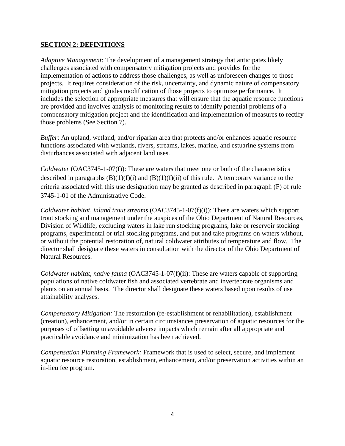#### <span id="page-3-0"></span>**SECTION 2: DEFINITIONS**

*Adaptive Management*: The development of a management strategy that anticipates likely challenges associated with compensatory mitigation projects and provides for the implementation of actions to address those challenges, as well as unforeseen changes to those projects. It requires consideration of the risk, uncertainty, and dynamic nature of compensatory mitigation projects and guides modification of those projects to optimize performance. It includes the selection of appropriate measures that will ensure that the aquatic resource functions are provided and involves analysis of monitoring results to identify potential problems of a compensatory mitigation project and the identification and implementation of measures to rectify those problems (See Section 7).

*Buffer*: An upland, wetland, and/or riparian area that protects and/or enhances aquatic resource functions associated with wetlands, rivers, streams, lakes, marine, and estuarine systems from disturbances associated with adjacent land uses.

*Coldwater* (OAC3745-1-07(f)): These are waters that meet one or both of the characteristics described in paragraphs  $(B)(1)(f)(i)$  and  $(B)(1)(f)(ii)$  of this rule. A temporary variance to the criteria associated with this use designation may be granted as described in paragraph (F) of rule [3745-1-01](http://codes.ohio.gov/oac/3745-1-01) of the Administrative Code.

*Coldwater habitat, inland trout streams* (OAC3745-1-07(f)(i)): These are waters which support trout stocking and management under the auspices of the Ohio Department of Natural Resources, Division of Wildlife, excluding waters in lake run stocking programs, lake or reservoir stocking programs, experimental or trial stocking programs, and put and take programs on waters without, or without the potential restoration of, natural coldwater attributes of temperature and flow. The director shall designate these waters in consultation with the director of the Ohio Department of Natural Resources.

*Coldwater habitat, native fauna* (OAC3745-1-07(f)(ii): These are waters capable of supporting populations of native coldwater fish and associated vertebrate and invertebrate organisms and plants on an annual basis. The director shall designate these waters based upon results of use attainability analyses.

*Compensatory Mitigation:* The restoration (re-establishment or rehabilitation), establishment (creation), enhancement, and/or in certain circumstances preservation of aquatic resources for the purposes of offsetting unavoidable adverse impacts which remain after all appropriate and practicable avoidance and minimization has been achieved.

*Compensation Planning Framework:* Framework that is used to select, secure, and implement aquatic resource restoration, establishment, enhancement, and/or preservation activities within an in-lieu fee program.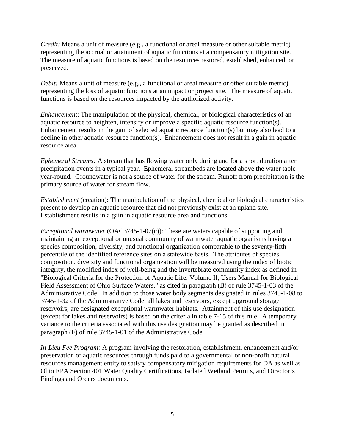*Credit:* Means a unit of measure (e.g., a functional or areal measure or other suitable metric) representing the accrual or attainment of aquatic functions at a compensatory mitigation site. The measure of aquatic functions is based on the resources restored, established, enhanced, or preserved.

*Debit:* Means a unit of measure (e.g., a functional or areal measure or other suitable metric) representing the loss of aquatic functions at an impact or project site. The measure of aquatic functions is based on the resources impacted by the authorized activity.

*Enhancement*: The manipulation of the physical, chemical, or biological characteristics of an aquatic resource to heighten, intensify or improve a specific aquatic resource function(s). Enhancement results in the gain of selected aquatic resource function(s) but may also lead to a decline in other aquatic resource function(s). Enhancement does not result in a gain in aquatic resource area.

*Ephemeral Streams:* A stream that has flowing water only during and for a short duration after precipitation events in a typical year. Ephemeral streambeds are located above the water table year-round. Groundwater is not a source of water for the stream. Runoff from precipitation is the primary source of water for stream flow.

*Establishment* (creation): The manipulation of the physical, chemical or biological characteristics present to develop an aquatic resource that did not previously exist at an upland site. Establishment results in a gain in aquatic resource area and functions.

*Exceptional warmwater* (OAC3745-1-07(c)): These are waters capable of supporting and maintaining an exceptional or unusual community of warmwater aquatic organisms having a species composition, diversity, and functional organization comparable to the seventy-fifth percentile of the identified reference sites on a statewide basis. The attributes of species composition, diversity and functional organization will be measured using the index of biotic integrity, the modified index of well-being and the invertebrate community index as defined in "Biological Criteria for the Protection of Aquatic Life: Volume II, Users Manual for Biological Field Assessment of Ohio Surface Waters," as cited in paragraph (B) of rule [3745-1-03](http://codes.ohio.gov/oac/3745-1-03) of the Administrative Code. In addition to those water body segments designated in rules [3745-1-08](http://codes.ohio.gov/oac/3745-1-08) to [3745-1-32](http://codes.ohio.gov/oac/3745-1-32) of the Administrative Code, all lakes and reservoirs, except upground storage reservoirs, are designated exceptional warmwater habitats. Attainment of this use designation (except for lakes and reservoirs) is based on the criteria in table 7-15 of this rule. A temporary variance to the criteria associated with this use designation may be granted as described in paragraph (F) of rule [3745-1-01](http://codes.ohio.gov/oac/3745-1-01) of the Administrative Code.

*In-Lieu Fee Program:* A program involving the restoration, establishment, enhancement and/or preservation of aquatic resources through funds paid to a governmental or non-profit natural resources management entity to satisfy compensatory mitigation requirements for DA as well as Ohio EPA Section 401 Water Quality Certifications, Isolated Wetland Permits, and Director's Findings and Orders documents.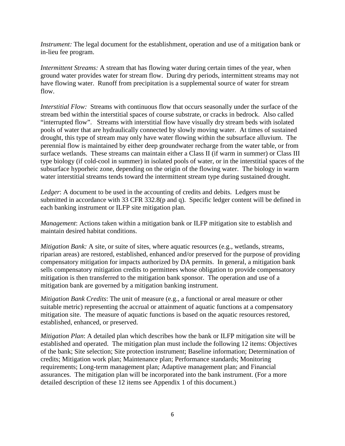*Instrument:* The legal document for the establishment, operation and use of a mitigation bank or in-lieu fee program.

*Intermittent Streams:* A stream that has flowing water during certain times of the year, when ground water provides water for stream flow. During dry periods, intermittent streams may not have flowing water. Runoff from precipitation is a supplemental source of water for stream flow.

*Interstitial Flow:* Streams with continuous flow that occurs seasonally under the surface of the stream bed within the interstitial spaces of course substrate, or cracks in bedrock. Also called "interrupted flow". Streams with interstitial flow have visually dry stream beds with isolated pools of water that are hydraulically connected by slowly moving water. At times of sustained drought, this type of stream may only have water flowing within the subsurface alluvium. The perennial flow is maintained by either deep groundwater recharge from the water table, or from surface wetlands. These streams can maintain either a Class II (if warm in summer) or Class III type biology (if cold-cool in summer) in isolated pools of water, or in the interstitial spaces of the subsurface hyporheic zone, depending on the origin of the flowing water. The biology in warm water interstitial streams tends toward the intermittent stream type during sustained drought.

*Ledger*: A document to be used in the accounting of credits and debits. Ledgers must be submitted in accordance with 33 CFR 332.8(p and q). Specific ledger content will be defined in each banking instrument or ILFP site mitigation plan.

*Management*: Actions taken within a mitigation bank or ILFP mitigation site to establish and maintain desired habitat conditions.

*Mitigation Bank:* A site, or suite of sites, where aquatic resources (e.g., wetlands, streams, riparian areas) are restored, established, enhanced and/or preserved for the purpose of providing compensatory mitigation for impacts authorized by DA permits. In general, a mitigation bank sells compensatory mitigation credits to permittees whose obligation to provide compensatory mitigation is then transferred to the mitigation bank sponsor. The operation and use of a mitigation bank are governed by a mitigation banking instrument.

*Mitigation Bank Credits*: The unit of measure (e.g., a functional or areal measure or other suitable metric) representing the accrual or attainment of aquatic functions at a compensatory mitigation site. The measure of aquatic functions is based on the aquatic resources restored, established, enhanced, or preserved.

*Mitigation Plan*: A detailed plan which describes how the bank or ILFP mitigation site will be established and operated. The mitigation plan must include the following 12 items: Objectives of the bank; Site selection; Site protection instrument; Baseline information; Determination of credits; Mitigation work plan; Maintenance plan; Performance standards; Monitoring requirements; Long-term management plan; Adaptive management plan; and Financial assurances. The mitigation plan will be incorporated into the bank instrument. (For a more detailed description of these 12 items see Appendix 1 of this document.)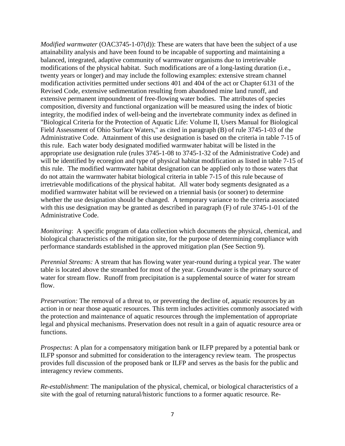*Modified warmwater* (OAC3745-1-07(d)): These are waters that have been the subject of a use attainability analysis and have been found to be incapable of supporting and maintaining a balanced, integrated, adaptive community of warmwater organisms due to irretrievable modifications of the physical habitat. Such modifications are of a long-lasting duration (i.e., twenty years or longer) and may include the following examples: extensive stream channel modification activities permitted under sections 401 and 404 of the act or Chapter 6131 of the Revised Code, extensive sedimentation resulting from abandoned mine land runoff, and extensive permanent impoundment of free-flowing water bodies. The attributes of species composition, diversity and functional organization will be measured using the index of biotic integrity, the modified index of well-being and the invertebrate community index as defined in "Biological Criteria for the Protection of Aquatic Life: Volume II, Users Manual for Biological Field Assessment of Ohio Surface Waters," as cited in paragraph (B) of rule [3745-1-03](http://codes.ohio.gov/oac/3745-1-03) of the Administrative Code. Attainment of this use designation is based on the criteria in table 7-15 of this rule. Each water body designated modified warmwater habitat will be listed in the appropriate use designation rule (rules [3745-1-08](http://codes.ohio.gov/oac/3745-1-08) to [3745-1-32](http://codes.ohio.gov/oac/3745-1-32) of the Administrative Code) and will be identified by ecoregion and type of physical habitat modification as listed in table 7-15 of this rule. The modified warmwater habitat designation can be applied only to those waters that do not attain the warmwater habitat biological criteria in table 7-15 of this rule because of irretrievable modifications of the physical habitat. All water body segments designated as a modified warmwater habitat will be reviewed on a triennial basis (or sooner) to determine whether the use designation should be changed. A temporary variance to the criteria associated with this use designation may be granted as described in paragraph (F) of rule [3745-1-01](http://codes.ohio.gov/oac/3745-1-01) of the Administrative Code.

*Monitoring*: A specific program of data collection which documents the physical, chemical, and biological characteristics of the mitigation site, for the purpose of determining compliance with performance standards established in the approved mitigation plan (See Section 9).

*Perennial Streams:* A stream that has flowing water year-round during a typical year. The water table is located above the streambed for most of the year. Groundwater is the primary source of water for stream flow. Runoff from precipitation is a supplemental source of water for stream flow.

*Preservation:* The removal of a threat to, or preventing the decline of, aquatic resources by an action in or near those aquatic resources. This term includes activities commonly associated with the protection and maintenance of aquatic resources through the implementation of appropriate legal and physical mechanisms. Preservation does not result in a gain of aquatic resource area or functions.

*Prospectus*: A plan for a compensatory mitigation bank or ILFP prepared by a potential bank or ILFP sponsor and submitted for consideration to the interagency review team. The prospectus provides full discussion of the proposed bank or ILFP and serves as the basis for the public and interagency review comments.

*Re-establishment*: The manipulation of the physical, chemical, or biological characteristics of a site with the goal of returning natural/historic functions to a former aquatic resource. Re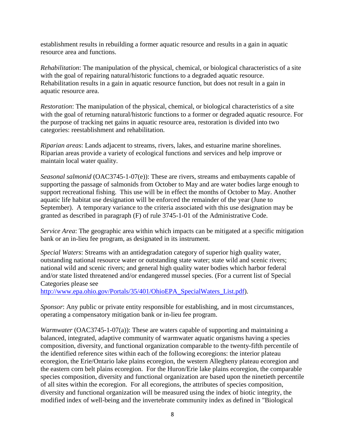establishment results in rebuilding a former aquatic resource and results in a gain in aquatic resource area and functions.

*Rehabilitation*: The manipulation of the physical, chemical, or biological characteristics of a site with the goal of repairing natural/historic functions to a degraded aquatic resource. Rehabilitation results in a gain in aquatic resource function, but does not result in a gain in aquatic resource area.

*Restoration*: The manipulation of the physical, chemical, or biological characteristics of a site with the goal of returning natural/historic functions to a former or degraded aquatic resource. For the purpose of tracking net gains in aquatic resource area, restoration is divided into two categories: reestablishment and rehabilitation.

*Riparian areas*: Lands adjacent to streams, rivers, lakes, and estuarine marine shorelines. Riparian areas provide a variety of ecological functions and services and help improve or maintain local water quality.

*Seasonal salmonid* (OAC3745-1-07(e)): These are rivers, streams and embayments capable of supporting the passage of salmonids from October to May and are water bodies large enough to support recreational fishing. This use will be in effect the months of October to May. Another aquatic life habitat use designation will be enforced the remainder of the year (June to September). A temporary variance to the criteria associated with this use designation may be granted as described in paragraph (F) of rule [3745-1-01](http://codes.ohio.gov/oac/3745-1-01) of the Administrative Code.

*Service Area*: The geographic area within which impacts can be mitigated at a specific mitigation bank or an in-lieu fee program, as designated in its instrument.

*Special Waters*: Streams with an antidegradation category of superior high quality water, outstanding national resource water or outstanding state water; state wild and scenic rivers; national wild and scenic rivers; and general high quality water bodies which harbor federal and/or state listed threatened and/or endangered mussel species. (For a current list of Special Categories please see

[http://www.epa.ohio.gov/Portals/35/401/OhioEPA\\_SpecialWaters\\_List.pdf\)](http://www.epa.ohio.gov/Portals/35/401/OhioEPA_SpecialWaters_List.pdf).

*Sponsor*: Any public or private entity responsible for establishing, and in most circumstances, operating a compensatory mitigation bank or in-lieu fee program.

*Warmwater* (OAC3745-1-07(a)): These are waters capable of supporting and maintaining a balanced, integrated, adaptive community of warmwater aquatic organisms having a species composition, diversity, and functional organization comparable to the twenty-fifth percentile of the identified reference sites within each of the following ecoregions: the interior plateau ecoregion, the Erie/Ontario lake plains ecoregion, the western Allegheny plateau ecoregion and the eastern corn belt plains ecoregion. For the Huron/Erie lake plains ecoregion, the comparable species composition, diversity and functional organization are based upon the ninetieth percentile of all sites within the ecoregion. For all ecoregions, the attributes of species composition, diversity and functional organization will be measured using the index of biotic integrity, the modified index of well-being and the invertebrate community index as defined in "Biological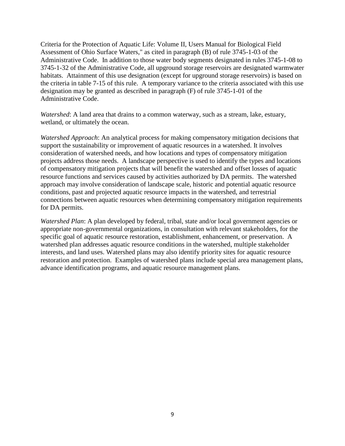Criteria for the Protection of Aquatic Life: Volume II, Users Manual for Biological Field Assessment of Ohio Surface Waters," as cited in paragraph (B) of rule [3745-1-03](http://codes.ohio.gov/oac/3745-1-03) of the Administrative Code. In addition to those water body segments designated in rules [3745-1-08](http://codes.ohio.gov/oac/3745-1-08) to [3745-1-32](http://codes.ohio.gov/oac/3745-1-32) of the Administrative Code, all upground storage reservoirs are designated warmwater habitats. Attainment of this use designation (except for upground storage reservoirs) is based on the criteria in table 7-15 of this rule. A temporary variance to the criteria associated with this use designation may be granted as described in paragraph (F) of rule [3745-1-01](http://codes.ohio.gov/oac/3745-1-01) of the Administrative Code.

*Watershed*: A land area that drains to a common waterway, such as a stream, lake, estuary, wetland, or ultimately the ocean.

*Watershed Approach*: An analytical process for making compensatory mitigation decisions that support the sustainability or improvement of aquatic resources in a watershed. It involves consideration of watershed needs, and how locations and types of compensatory mitigation projects address those needs. A landscape perspective is used to identify the types and locations of compensatory mitigation projects that will benefit the watershed and offset losses of aquatic resource functions and services caused by activities authorized by DA permits. The watershed approach may involve consideration of landscape scale, historic and potential aquatic resource conditions, past and projected aquatic resource impacts in the watershed, and terrestrial connections between aquatic resources when determining compensatory mitigation requirements for DA permits.

*Watershed Plan*: A plan developed by federal, tribal, state and/or local government agencies or appropriate non-governmental organizations, in consultation with relevant stakeholders, for the specific goal of aquatic resource restoration, establishment, enhancement, or preservation. A watershed plan addresses aquatic resource conditions in the watershed, multiple stakeholder interests, and land uses. Watershed plans may also identify priority sites for aquatic resource restoration and protection. Examples of watershed plans include special area management plans, advance identification programs, and aquatic resource management plans.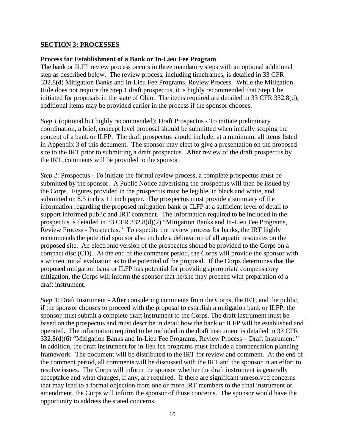#### <span id="page-9-0"></span>**SECTION 3: PROCESSES**

#### **Process for Establishment of a Bank or In-Lieu Fee Program**

The bank or ILFP review process occurs in three mandatory steps with an optional additional step as described below. The review process, including timeframes, is detailed in 33 CFR 332.8(d) Mitigation Banks and In-Lieu Fee Programs, Review Process. While the Mitigation Rule does not require the Step 1 draft prospectus, it is highly recommended that Step 1 be initiated for proposals in the state of Ohio. The items required are detailed in 33 CFR 332.8(d); additional items may be provided earlier in the process if the sponsor chooses.

*Step 1* (optional but highly recommended): Draft Prospectus - To initiate preliminary coordination, a brief, concept level proposal should be submitted when initially scoping the concept of a bank or ILFP. The draft prospectus should include, at a minimum, all items listed in Appendix 3 of this document. The sponsor may elect to give a presentation on the proposed site to the IRT prior to submitting a draft prospectus. After review of the draft prospectus by the IRT, comments will be provided to the sponsor.

*Step 2*: Prospectus - To initiate the formal review process, a complete prospectus must be submitted by the sponsor. A Public Notice advertising the prospectus will then be issued by the Corps. Figures provided in the prospectus must be legible, in black and white, and submitted on 8.5 inch x 11 inch paper. The prospectus must provide a summary of the information regarding the proposed mitigation bank or ILFP at a sufficient level of detail to support informed public and IRT comment. The information required to be included in the prospectus is detailed in 33 CFR 332.8(d)(2) "Mitigation Banks and In-Lieu Fee Programs, Review Process - Prospectus." To expedite the review process for banks, the IRT highly recommends the potential sponsor also include a delineation of all aquatic resources on the proposed site. An electronic version of the prospectus should be provided to the Corps on a compact disc (CD). At the end of the comment period, the Corps will provide the sponsor with a written initial evaluation as to the potential of the proposal. If the Corps determines that the proposed mitigation bank or ILFP has potential for providing appropriate compensatory mitigation, the Corps will inform the sponsor that he/she may proceed with preparation of a draft instrument.

*Step 3*: Draft Instrument - After considering comments from the Corps, the IRT, and the public, if the sponsor chooses to proceed with the proposal to establish a mitigation bank or ILFP, the sponsor must submit a complete draft instrument to the Corps. The draft instrument must be based on the prospectus and must describe in detail how the bank or ILFP will be established and operated. The information required to be included in the draft instrument is detailed in 33 CFR 332.8(d)(6) "Mitigation Banks and In-Lieu Fee Programs, Review Process – Draft Instrument." In addition, the draft instrument for in-lieu fee programs must include a compensation planning framework. The document will be distributed to the IRT for review and comment. At the end of the comment period, all comments will be discussed with the IRT and the sponsor in an effort to resolve issues. The Corps will inform the sponsor whether the draft instrument is generally acceptable and what changes, if any, are required. If there are significant unresolved concerns that may lead to a formal objection from one or more IRT members to the final instrument or amendment, the Corps will inform the sponsor of those concerns. The sponsor would have the opportunity to address the stated concerns.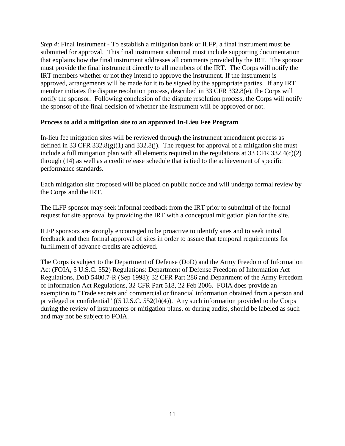*Step 4*: Final Instrument - To establish a mitigation bank or ILFP, a final instrument must be submitted for approval. This final instrument submittal must include supporting documentation that explains how the final instrument addresses all comments provided by the IRT. The sponsor must provide the final instrument directly to all members of the IRT. The Corps will notify the IRT members whether or not they intend to approve the instrument. If the instrument is approved, arrangements will be made for it to be signed by the appropriate parties. If any IRT member initiates the dispute resolution process, described in 33 CFR 332.8(e), the Corps will notify the sponsor. Following conclusion of the dispute resolution process, the Corps will notify the sponsor of the final decision of whether the instrument will be approved or not.

#### **Process to add a mitigation site to an approved In-Lieu Fee Program**

In-lieu fee mitigation sites will be reviewed through the instrument amendment process as defined in 33 CFR 332.8(g)(1) and 332.8(j). The request for approval of a mitigation site must include a full mitigation plan with all elements required in the regulations at 33 CFR 332.4(c)(2) through (14) as well as a credit release schedule that is tied to the achievement of specific performance standards.

Each mitigation site proposed will be placed on public notice and will undergo formal review by the Corps and the IRT.

The ILFP sponsor may seek informal feedback from the IRT prior to submittal of the formal request for site approval by providing the IRT with a conceptual mitigation plan for the site.

ILFP sponsors are strongly encouraged to be proactive to identify sites and to seek initial feedback and then formal approval of sites in order to assure that temporal requirements for fulfillment of advance credits are achieved.

The Corps is subject to the Department of Defense (DoD) and the Army Freedom of Information Act (FOIA, 5 U.S.C. 552) Regulations: Department of Defense Freedom of Information Act Regulations, DoD 5400.7-R (Sep 1998); 32 CFR Part 286 and Department of the Army Freedom of Information Act Regulations, 32 CFR Part 518, 22 Feb 2006. FOIA does provide an exemption to "Trade secrets and commercial or financial information obtained from a person and privileged or confidential" ((5 U.S.C. 552(b)(4)). Any such information provided to the Corps during the review of instruments or mitigation plans, or during audits, should be labeled as such and may not be subject to FOIA.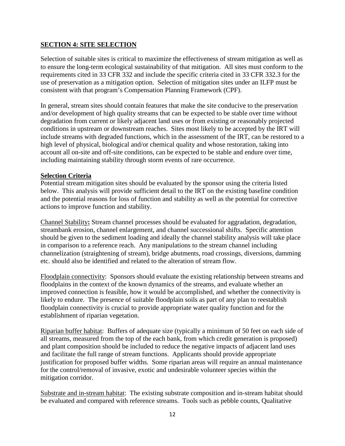#### <span id="page-11-0"></span>**SECTION 4: SITE SELECTION**

Selection of suitable sites is critical to maximize the effectiveness of stream mitigation as well as to ensure the long-term ecological sustainability of that mitigation. All sites must conform to the requirements cited in 33 CFR 332 and include the specific criteria cited in 33 CFR 332.3 for the use of preservation as a mitigation option. Selection of mitigation sites under an ILFP must be consistent with that program's Compensation Planning Framework (CPF).

In general, stream sites should contain features that make the site conducive to the preservation and/or development of high quality streams that can be expected to be stable over time without degradation from current or likely adjacent land uses or from existing or reasonably projected conditions in upstream or downstream reaches. Sites most likely to be accepted by the IRT will include streams with degraded functions, which in the assessment of the IRT, can be restored to a high level of physical, biological and/or chemical quality and whose restoration, taking into account all on-site and off-site conditions, can be expected to be stable and endure over time, including maintaining stability through storm events of rare occurrence.

#### **Selection Criteria**

Potential stream mitigation sites should be evaluated by the sponsor using the criteria listed below. This analysis will provide sufficient detail to the IRT on the existing baseline condition and the potential reasons for loss of function and stability as well as the potential for corrective actions to improve function and stability.

Channel Stability**:** Stream channel processes should be evaluated for aggradation, degradation, streambank erosion, channel enlargement, and channel successional shifts. Specific attention should be given to the sediment loading and ideally the channel stability analysis will take place in comparison to a reference reach. Any manipulations to the stream channel including channelization (straightening of stream), bridge abutments, road crossings, diversions, damming etc. should also be identified and related to the alteration of stream flow.

Floodplain connectivity: Sponsors should evaluate the existing relationship between streams and floodplains in the context of the known dynamics of the streams, and evaluate whether an improved connection is feasible, how it would be accomplished, and whether the connectivity is likely to endure. The presence of suitable floodplain soils as part of any plan to reestablish floodplain connectivity is crucial to provide appropriate water quality function and for the establishment of riparian vegetation.

Riparian buffer habitat: Buffers of adequate size (typically a minimum of 50 feet on each side of all streams, measured from the top of the each bank, from which credit generation is proposed) and plant composition should be included to reduce the negative impacts of adjacent land uses and facilitate the full range of stream functions. Applicants should provide appropriate justification for proposed buffer widths. Some riparian areas will require an annual maintenance for the control/removal of invasive, exotic and undesirable volunteer species within the mitigation corridor.

Substrate and in-stream habitat: The existing substrate composition and in-stream habitat should be evaluated and compared with reference streams. Tools such as pebble counts, Qualitative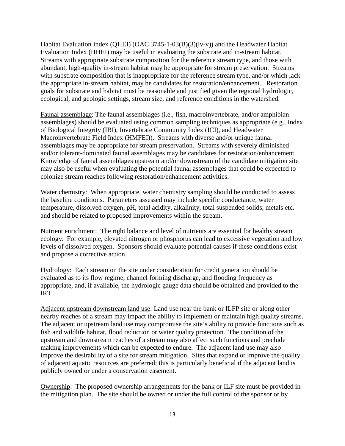Habitat Evaluation Index (QHEI) (OAC 3745-1-03(B)(3)(iv-v)) and the Headwater Habitat Evaluation Index (HHEI) may be useful in evaluating the substrate and in-stream habitat. Streams with appropriate substrate composition for the reference stream type, and those with abundant, high-quality in-stream habitat may be appropriate for stream preservation. Streams with substrate composition that is inappropriate for the reference stream type, and/or which lack the appropriate in-stream habitat, may be candidates for restoration/enhancement. Restoration goals for substrate and habitat must be reasonable and justified given the regional hydrologic, ecological, and geologic settings, stream size, and reference conditions in the watershed.

Faunal assemblage: The faunal assemblages (i.e., fish, macroinvertebrate, and/or amphibian assemblages) should be evaluated using common sampling techniques as appropriate (e.g., Index of Biological Integrity (IBI), Invertebrate Community Index (ICI), and Headwater Macroinvertebrate Field Index (HMFEI)). Streams with diverse and/or unique faunal assemblages may be appropriate for stream preservation. Streams with severely diminished and/or tolerant-dominated faunal assemblages may be candidates for restoration/enhancement. Knowledge of faunal assemblages upstream and/or downstream of the candidate mitigation site may also be useful when evaluating the potential faunal assemblages that could be expected to colonize stream reaches following restoration/enhancement activities.

Water chemistry: When appropriate, water chemistry sampling should be conducted to assess the baseline conditions. Parameters assessed may include specific conductance, water temperature, dissolved oxygen, pH, total acidity, alkalinity, total suspended solids, metals etc. and should be related to proposed improvements within the stream.

Nutrient enrichment: The right balance and level of nutrients are essential for healthy stream ecology. For example, elevated nitrogen or phosphorus can lead to excessive vegetation and low levels of dissolved oxygen. Sponsors should evaluate potential causes if these conditions exist and propose a corrective action.

Hydrology: Each stream on the site under consideration for credit generation should be evaluated as to its flow regime, channel forming discharge, and flooding frequency as appropriate, and, if available, the hydrologic gauge data should be obtained and provided to the IRT.

Adjacent upstream downstream land use: Land use near the bank or ILFP site or along other nearby reaches of a stream may impact the ability to implement or maintain high quality streams. The adjacent or upstream land use may compromise the site's ability to provide functions such as fish and wildlife habitat, flood reduction or water quality protection. The condition of the upstream and downstream reaches of a stream may also affect such functions and preclude making improvements which can be expected to endure. The adjacent land use may also improve the desirability of a site for stream mitigation. Sites that expand or improve the quality of adjacent aquatic resources are preferred; this is particularly beneficial if the adjacent land is publicly owned or under a conservation easement.

Ownership: The proposed ownership arrangements for the bank or ILF site must be provided in the mitigation plan. The site should be owned or under the full control of the sponsor or by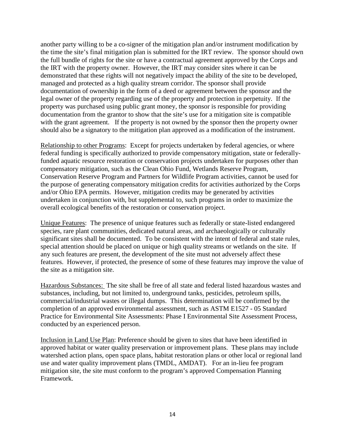another party willing to be a co-signer of the mitigation plan and/or instrument modification by the time the site's final mitigation plan is submitted for the IRT review. The sponsor should own the full bundle of rights for the site or have a contractual agreement approved by the Corps and the IRT with the property owner. However, the IRT may consider sites where it can be demonstrated that these rights will not negatively impact the ability of the site to be developed, managed and protected as a high quality stream corridor. The sponsor shall provide documentation of ownership in the form of a deed or agreement between the sponsor and the legal owner of the property regarding use of the property and protection in perpetuity. If the property was purchased using public grant money, the sponsor is responsible for providing documentation from the grantor to show that the site's use for a mitigation site is compatible with the grant agreement. If the property is not owned by the sponsor then the property owner should also be a signatory to the mitigation plan approved as a modification of the instrument.

Relationship to other Programs: Except for projects undertaken by federal agencies, or where federal funding is specifically authorized to provide compensatory mitigation, state or federallyfunded aquatic resource restoration or conservation projects undertaken for purposes other than compensatory mitigation, such as the Clean Ohio Fund, Wetlands Reserve Program, Conservation Reserve Program and Partners for Wildlife Program activities, cannot be used for the purpose of generating compensatory mitigation credits for activities authorized by the Corps and/or Ohio EPA permits. However, mitigation credits may be generated by activities undertaken in conjunction with, but supplemental to, such programs in order to maximize the overall ecological benefits of the restoration or conservation project.

Unique Features: The presence of unique features such as federally or state-listed endangered species, rare plant communities, dedicated natural areas, and archaeologically or culturally significant sites shall be documented. To be consistent with the intent of federal and state rules, special attention should be placed on unique or high quality streams or wetlands on the site. If any such features are present, the development of the site must not adversely affect these features. However, if protected, the presence of some of these features may improve the value of the site as a mitigation site.

Hazardous Substances: The site shall be free of all state and federal listed hazardous wastes and substances, including, but not limited to, underground tanks, pesticides, petroleum spills, commercial/industrial wastes or illegal dumps. This determination will be confirmed by the completion of an approved environmental assessment, such as ASTM E1527 - 05 Standard Practice for Environmental Site Assessments: Phase I Environmental Site Assessment Process, conducted by an experienced person.

Inclusion in Land Use Plan: Preference should be given to sites that have been identified in approved habitat or water quality preservation or improvement plans. These plans may include watershed action plans, open space plans, habitat restoration plans or other local or regional land use and water quality improvement plans (TMDL, AMDAT). For an in-lieu fee program mitigation site, the site must conform to the program's approved Compensation Planning Framework.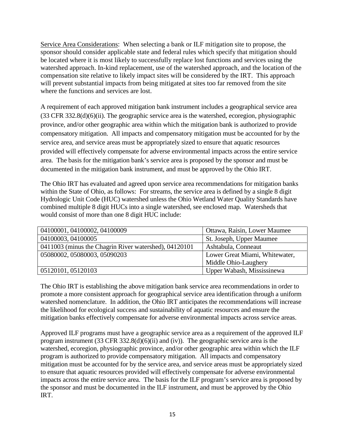Service Area Considerations: When selecting a bank or ILF mitigation site to propose, the sponsor should consider applicable state and federal rules which specify that mitigation should be located where it is most likely to successfully replace lost functions and services using the watershed approach. In-kind replacement, use of the watershed approach, and the location of the compensation site relative to likely impact sites will be considered by the IRT. This approach will prevent substantial impacts from being mitigated at sites too far removed from the site where the functions and services are lost.

A requirement of each approved mitigation bank instrument includes a geographical service area (33 CFR 332.8(d)(6)(ii). The geographic service area is the watershed, ecoregion, physiographic province, and/or other geographic area within which the mitigation bank is authorized to provide compensatory mitigation. All impacts and compensatory mitigation must be accounted for by the service area, and service areas must be appropriately sized to ensure that aquatic resources provided will effectively compensate for adverse environmental impacts across the entire service area. The basis for the mitigation bank's service area is proposed by the sponsor and must be documented in the mitigation bank instrument, and must be approved by the Ohio IRT.

The Ohio IRT has evaluated and agreed upon service area recommendations for mitigation banks within the State of Ohio, as follows: For streams, the service area is defined by a single 8 digit Hydrologic Unit Code (HUC) watershed unless the Ohio Wetland Water Quality Standards have combined multiple 8 digit HUCs into a single watershed, see enclosed map. Watersheds that would consist of more than one 8 digit HUC include:

| 04100001, 04100002, 04100009                          | Ottawa, Raisin, Lower Maumee   |  |
|-------------------------------------------------------|--------------------------------|--|
| 04100003, 04100005                                    | St. Joseph, Upper Maumee       |  |
| 0411003 (minus the Chagrin River watershed), 04120101 | Ashtabula, Conneaut            |  |
| 05080002, 05080003, 05090203                          | Lower Great Miami, Whitewater, |  |
|                                                       | Middle Ohio-Laughery           |  |
| 05120101, 05120103                                    | Upper Wabash, Mississinewa     |  |

The Ohio IRT is establishing the above mitigation bank service area recommendations in order to promote a more consistent approach for geographical service area identification through a uniform watershed nomenclature. In addition, the Ohio IRT anticipates the recommendations will increase the likelihood for ecological success and sustainability of aquatic resources and ensure the mitigation banks effectively compensate for adverse environmental impacts across service areas.

Approved ILF programs must have a geographic service area as a requirement of the approved ILF program instrument (33 CFR 332.8(d)(6)(ii) and (iv)). The geographic service area is the watershed, ecoregion, physiographic province, and/or other geographic area within which the ILF program is authorized to provide compensatory mitigation. All impacts and compensatory mitigation must be accounted for by the service area, and service areas must be appropriately sized to ensure that aquatic resources provided will effectively compensate for adverse environmental impacts across the entire service area. The basis for the ILF program's service area is proposed by the sponsor and must be documented in the ILF instrument, and must be approved by the Ohio IRT.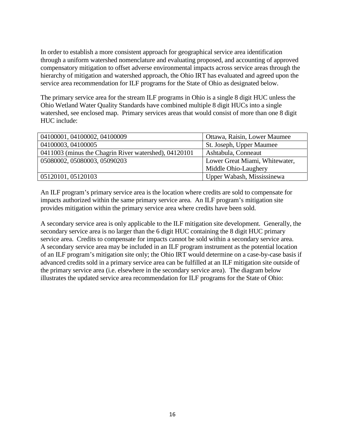In order to establish a more consistent approach for geographical service area identification through a uniform watershed nomenclature and evaluating proposed, and accounting of approved compensatory mitigation to offset adverse environmental impacts across service areas through the hierarchy of mitigation and watershed approach, the Ohio IRT has evaluated and agreed upon the service area recommendation for ILF programs for the State of Ohio as designated below.

The primary service area for the stream ILF programs in Ohio is a single 8 digit HUC unless the Ohio Wetland Water Quality Standards have combined multiple 8 digit HUCs into a single watershed, see enclosed map. Primary services areas that would consist of more than one 8 digit HUC include:

| 04100001, 04100002, 04100009                          | Ottawa, Raisin, Lower Maumee   |  |
|-------------------------------------------------------|--------------------------------|--|
| 04100003, 04100005                                    | St. Joseph, Upper Maumee       |  |
| 0411003 (minus the Chagrin River watershed), 04120101 | Ashtabula, Conneaut            |  |
| 05080002, 05080003, 05090203                          | Lower Great Miami, Whitewater, |  |
|                                                       | Middle Ohio-Laughery           |  |
| 05120101, 05120103                                    | Upper Wabash, Mississinewa     |  |

An ILF program's primary service area is the location where credits are sold to compensate for impacts authorized within the same primary service area. An ILF program's mitigation site provides mitigation within the primary service area where credits have been sold.

A secondary service area is only applicable to the ILF mitigation site development. Generally, the secondary service area is no larger than the 6 digit HUC containing the 8 digit HUC primary service area. Credits to compensate for impacts cannot be sold within a secondary service area. A secondary service area may be included in an ILF program instrument as the potential location of an ILF program's mitigation site only; the Ohio IRT would determine on a case-by-case basis if advanced credits sold in a primary service area can be fulfilled at an ILF mitigation site outside of the primary service area (i.e. elsewhere in the secondary service area). The diagram below illustrates the updated service area recommendation for ILF programs for the State of Ohio: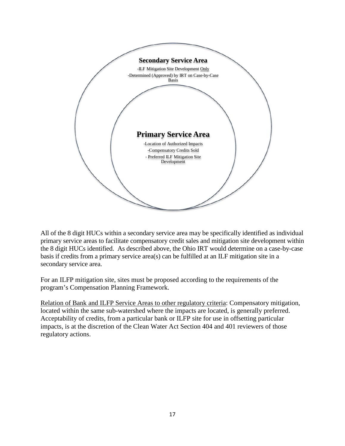

All of the 8 digit HUCs within a secondary service area may be specifically identified as individual primary service areas to facilitate compensatory credit sales and mitigation site development within the 8 digit HUCs identified. As described above, the Ohio IRT would determine on a case-by-case basis if credits from a primary service area(s) can be fulfilled at an ILF mitigation site in a secondary service area.

For an ILFP mitigation site, sites must be proposed according to the requirements of the program's Compensation Planning Framework.

Relation of Bank and ILFP Service Areas to other regulatory criteria: Compensatory mitigation, located within the same sub-watershed where the impacts are located, is generally preferred. Acceptability of credits, from a particular bank or ILFP site for use in offsetting particular impacts, is at the discretion of the Clean Water Act Section 404 and 401 reviewers of those regulatory actions.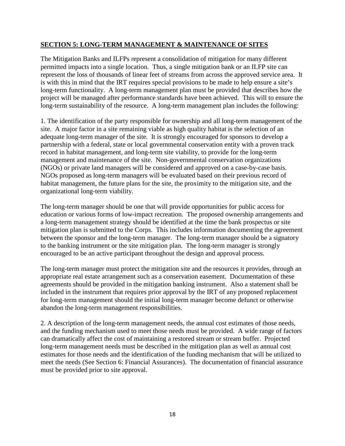#### <span id="page-17-0"></span>**SECTION 5: LONG-TERM MANAGEMENT & MAINTENANCE OF SITES**

The Mitigation Banks and ILFPs represent a consolidation of mitigation for many different permitted impacts into a single location. Thus, a single mitigation bank or an ILFP site can represent the loss of thousands of linear feet of streams from across the approved service area. It is with this in mind that the IRT requires special provisions to be made to help ensure a site's long-term functionality. A long-term management plan must be provided that describes how the project will be managed after performance standards have been achieved. This will to ensure the long-term sustainability of the resource. A long-term management plan includes the following:

1. The identification of the party responsible for ownership and all long-term management of the site. A major factor in a site remaining viable as high quality habitat is the selection of an adequate long-term manager of the site. It is strongly encouraged for sponsors to develop a partnership with a federal, state or local governmental conservation entity with a proven track record in habitat management, and long-term site viability, to provide for the long-term management and maintenance of the site. Non-governmental conservation organizations (NGOs) or private land managers will be considered and approved on a case-by-case basis. NGOs proposed as long-term managers will be evaluated based on their previous record of habitat management, the future plans for the site, the proximity to the mitigation site, and the organizational long-term viability.

The long-term manager should be one that will provide opportunities for public access for education or various forms of low-impact recreation. The proposed ownership arrangements and a long-term management strategy should be identified at the time the bank prospectus or site mitigation plan is submitted to the Corps. This includes information documenting the agreement between the sponsor and the long-term manager. The long-term manager should be a signatory to the banking instrument or the site mitigation plan. The long-term manager is strongly encouraged to be an active participant throughout the design and approval process.

The long-term manager must protect the mitigation site and the resources it provides, through an appropriate real estate arrangement such as a conservation easement. Documentation of these agreements should be provided in the mitigation banking instrument. Also a statement shall be included in the instrument that requires prior approval by the IRT of any proposed replacement for long-term management should the initial long-term manager become defunct or otherwise abandon the long-term management responsibilities.

2. A description of the long-term management needs, the annual cost estimates of those needs, and the funding mechanism used to meet those needs must be provided. A wide range of factors can dramatically affect the cost of maintaining a restored stream or stream buffer. Projected long-term management needs must be described in the mitigation plan as well as annual cost estimates for those needs and the identification of the funding mechanism that will be utilized to meet the needs (See Section 6: Financial Assurances). The documentation of financial assurance must be provided prior to site approval.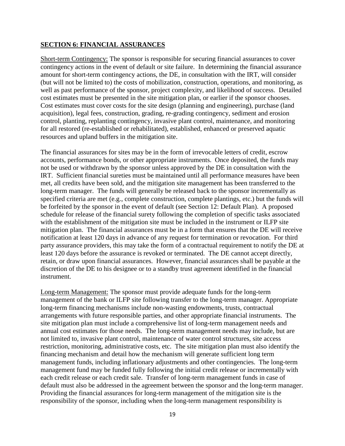#### <span id="page-18-0"></span>**SECTION 6: FINANCIAL ASSURANCES**

Short-term Contingency: The sponsor is responsible for securing financial assurances to cover contingency actions in the event of default or site failure. In determining the financial assurance amount for short-term contingency actions, the DE, in consultation with the IRT, will consider (but will not be limited to) the costs of mobilization, construction, operations, and monitoring, as well as past performance of the sponsor, project complexity, and likelihood of success. Detailed cost estimates must be presented in the site mitigation plan, or earlier if the sponsor chooses. Cost estimates must cover costs for the site design (planning and engineering), purchase (land acquisition), legal fees, construction, grading, re-grading contingency, sediment and erosion control, planting, replanting contingency, invasive plant control, maintenance, and monitoring for all restored (re-established or rehabilitated), established, enhanced or preserved aquatic resources and upland buffers in the mitigation site.

The financial assurances for sites may be in the form of irrevocable letters of credit, escrow accounts, performance bonds, or other appropriate instruments. Once deposited, the funds may not be used or withdrawn by the sponsor unless approved by the DE in consultation with the IRT. Sufficient financial sureties must be maintained until all performance measures have been met, all credits have been sold, and the mitigation site management has been transferred to the long-term manager. The funds will generally be released back to the sponsor incrementally as specified criteria are met (e.g., complete construction, complete plantings, etc.) but the funds will be forfeited by the sponsor in the event of default (see Section 12: Default Plan). A proposed schedule for release of the financial surety following the completion of specific tasks associated with the establishment of the mitigation site must be included in the instrument or ILFP site mitigation plan. The financial assurances must be in a form that ensures that the DE will receive notification at least 120 days in advance of any request for termination or revocation. For third party assurance providers, this may take the form of a contractual requirement to notify the DE at least 120 days before the assurance is revoked or terminated. The DE cannot accept directly, retain, or draw upon financial assurances. However, financial assurances shall be payable at the discretion of the DE to his designee or to a standby trust agreement identified in the financial instrument.

Long-term Management: The sponsor must provide adequate funds for the long-term management of the bank or ILFP site following transfer to the long-term manager. Appropriate long-term financing mechanisms include non-wasting endowments, trusts, contractual arrangements with future responsible parties, and other appropriate financial instruments. The site mitigation plan must include a comprehensive list of long-term management needs and annual cost estimates for those needs. The long-term management needs may include, but are not limited to, invasive plant control, maintenance of water control structures, site access restriction, monitoring, administrative costs, etc. The site mitigation plan must also identify the financing mechanism and detail how the mechanism will generate sufficient long term management funds, including inflationary adjustments and other contingencies. The long-term management fund may be funded fully following the initial credit release or incrementally with each credit release or each credit sale. Transfer of long-term management funds in case of default must also be addressed in the agreement between the sponsor and the long-term manager. Providing the financial assurances for long-term management of the mitigation site is the responsibility of the sponsor, including when the long-term management responsibility is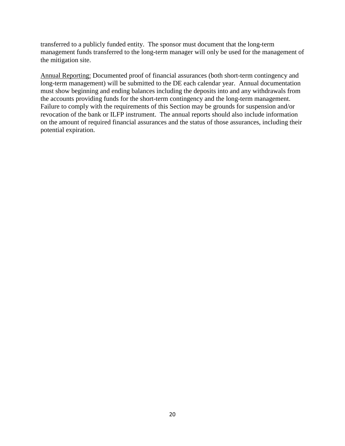transferred to a publicly funded entity. The sponsor must document that the long-term management funds transferred to the long-term manager will only be used for the management of the mitigation site.

Annual Reporting: Documented proof of financial assurances (both short-term contingency and long-term management) will be submitted to the DE each calendar year. Annual documentation must show beginning and ending balances including the deposits into and any withdrawals from the accounts providing funds for the short-term contingency and the long-term management. Failure to comply with the requirements of this Section may be grounds for suspension and/or revocation of the bank or ILFP instrument. The annual reports should also include information on the amount of required financial assurances and the status of those assurances, including their potential expiration.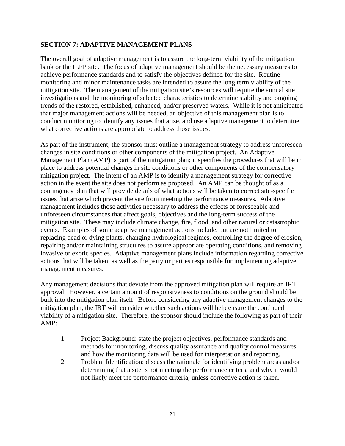#### <span id="page-20-0"></span>**SECTION 7: ADAPTIVE MANAGEMENT PLANS**

The overall goal of adaptive management is to assure the long-term viability of the mitigation bank or the ILFP site. The focus of adaptive management should be the necessary measures to achieve performance standards and to satisfy the objectives defined for the site. Routine monitoring and minor maintenance tasks are intended to assure the long term viability of the mitigation site. The management of the mitigation site's resources will require the annual site investigations and the monitoring of selected characteristics to determine stability and ongoing trends of the restored, established, enhanced, and/or preserved waters. While it is not anticipated that major management actions will be needed, an objective of this management plan is to conduct monitoring to identify any issues that arise, and use adaptive management to determine what corrective actions are appropriate to address those issues.

As part of the instrument, the sponsor must outline a management strategy to address unforeseen changes in site conditions or other components of the mitigation project. An Adaptive Management Plan (AMP) is part of the mitigation plan; it specifies the procedures that will be in place to address potential changes in site conditions or other components of the compensatory mitigation project. The intent of an AMP is to identify a management strategy for corrective action in the event the site does not perform as proposed. An AMP can be thought of as a contingency plan that will provide details of what actions will be taken to correct site-specific issues that arise which prevent the site from meeting the performance measures. Adaptive management includes those activities necessary to address the effects of foreseeable and unforeseen circumstances that affect goals, objectives and the long-term success of the mitigation site. These may include climate change, fire, flood, and other natural or catastrophic events. Examples of some adaptive management actions include, but are not limited to, replacing dead or dying plants, changing hydrological regimes, controlling the degree of erosion, repairing and/or maintaining structures to assure appropriate operating conditions, and removing invasive or exotic species. Adaptive management plans include information regarding corrective actions that will be taken, as well as the party or parties responsible for implementing adaptive management measures.

Any management decisions that deviate from the approved mitigation plan will require an IRT approval. However, a certain amount of responsiveness to conditions on the ground should be built into the mitigation plan itself. Before considering any adaptive management changes to the mitigation plan, the IRT will consider whether such actions will help ensure the continued viability of a mitigation site. Therefore, the sponsor should include the following as part of their AMP:

- 1. Project Background: state the project objectives, performance standards and methods for monitoring, discuss quality assurance and quality control measures and how the monitoring data will be used for interpretation and reporting.
- 2. Problem Identification: discuss the rationale for identifying problem areas and/or determining that a site is not meeting the performance criteria and why it would not likely meet the performance criteria, unless corrective action is taken.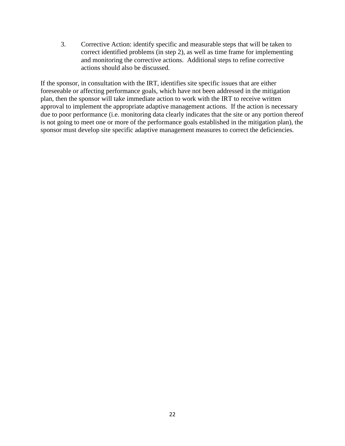3. Corrective Action: identify specific and measurable steps that will be taken to correct identified problems (in step 2), as well as time frame for implementing and monitoring the corrective actions. Additional steps to refine corrective actions should also be discussed.

If the sponsor, in consultation with the IRT, identifies site specific issues that are either foreseeable or affecting performance goals, which have not been addressed in the mitigation plan, then the sponsor will take immediate action to work with the IRT to receive written approval to implement the appropriate adaptive management actions. If the action is necessary due to poor performance (i.e. monitoring data clearly indicates that the site or any portion thereof is not going to meet one or more of the performance goals established in the mitigation plan), the sponsor must develop site specific adaptive management measures to correct the deficiencies.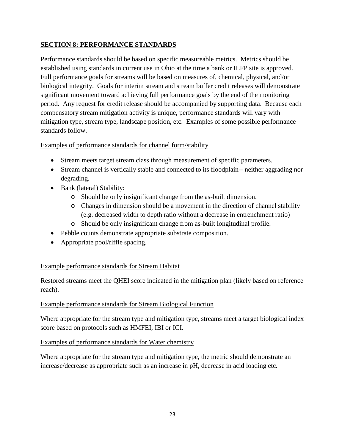#### <span id="page-22-0"></span>**SECTION 8: PERFORMANCE STANDARDS**

Performance standards should be based on specific measureable metrics. Metrics should be established using standards in current use in Ohio at the time a bank or ILFP site is approved. Full performance goals for streams will be based on measures of, chemical, physical, and/or biological integrity. Goals for interim stream and stream buffer credit releases will demonstrate significant movement toward achieving full performance goals by the end of the monitoring period. Any request for credit release should be accompanied by supporting data. Because each compensatory stream mitigation activity is unique, performance standards will vary with mitigation type, stream type, landscape position, etc. Examples of some possible performance standards follow.

#### Examples of performance standards for channel form/stability

- Stream meets target stream class through measurement of specific parameters.
- Stream channel is vertically stable and connected to its floodplain-- neither aggrading nor degrading.
- Bank (lateral) Stability:
	- o Should be only insignificant change from the as-built dimension.
	- o Changes in dimension should be a movement in the direction of channel stability (e.g. decreased width to depth ratio without a decrease in entrenchment ratio)
	- o Should be only insignificant change from as-built longitudinal profile.
- Pebble counts demonstrate appropriate substrate composition.
- Appropriate pool/riffle spacing.

#### Example performance standards for Stream Habitat

Restored streams meet the QHEI score indicated in the mitigation plan (likely based on reference reach).

#### Example performance standards for Stream Biological Function

Where appropriate for the stream type and mitigation type, streams meet a target biological index score based on protocols such as HMFEI, IBI or ICI.

Examples of performance standards for Water chemistry

Where appropriate for the stream type and mitigation type, the metric should demonstrate an increase/decrease as appropriate such as an increase in pH, decrease in acid loading etc.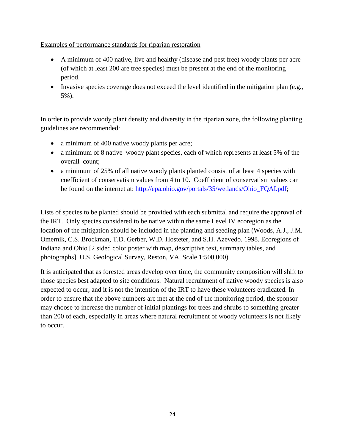Examples of performance standards for riparian restoration

- A minimum of 400 native, live and healthy (disease and pest free) woody plants per acre (of which at least 200 are tree species) must be present at the end of the monitoring period.
- Invasive species coverage does not exceed the level identified in the mitigation plan (e.g., 5%).

In order to provide woody plant density and diversity in the riparian zone, the following planting guidelines are recommended:

- a minimum of 400 native woody plants per acre;
- a minimum of 8 native woody plant species, each of which represents at least 5% of the overall count;
- a minimum of 25% of all native woody plants planted consist of at least 4 species with coefficient of conservatism values from 4 to 10. Coefficient of conservatism values can be found on the internet at: [http://epa.ohio.gov/portals/35/wetlands/Ohio\\_FQAI.pdf;](http://epa.ohio.gov/portals/35/wetlands/Ohio_FQAI.pdf)

Lists of species to be planted should be provided with each submittal and require the approval of the IRT. Only species considered to be native within the same Level IV ecoregion as the location of the mitigation should be included in the planting and seeding plan (Woods, A.J., J.M. Omernik, C.S. Brockman, T.D. Gerber, W.D. Hosteter, and S.H. Azevedo. 1998. Ecoregions of Indiana and Ohio [2 sided color poster with map, descriptive text, summary tables, and photographs]. U.S. Geological Survey, Reston, VA. Scale 1:500,000).

It is anticipated that as forested areas develop over time, the community composition will shift to those species best adapted to site conditions. Natural recruitment of native woody species is also expected to occur, and it is not the intention of the IRT to have these volunteers eradicated. In order to ensure that the above numbers are met at the end of the monitoring period, the sponsor may choose to increase the number of initial plantings for trees and shrubs to something greater than 200 of each, especially in areas where natural recruitment of woody volunteers is not likely to occur.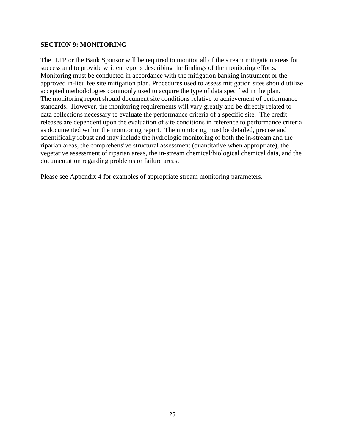#### <span id="page-24-0"></span>**SECTION 9: MONITORING**

The ILFP or the Bank Sponsor will be required to monitor all of the stream mitigation areas for success and to provide written reports describing the findings of the monitoring efforts. Monitoring must be conducted in accordance with the mitigation banking instrument or the approved in-lieu fee site mitigation plan. Procedures used to assess mitigation sites should utilize accepted methodologies commonly used to acquire the type of data specified in the plan. The monitoring report should document site conditions relative to achievement of performance standards. However, the monitoring requirements will vary greatly and be directly related to data collections necessary to evaluate the performance criteria of a specific site. The credit releases are dependent upon the evaluation of site conditions in reference to performance criteria as documented within the monitoring report. The monitoring must be detailed, precise and scientifically robust and may include the hydrologic monitoring of both the in-stream and the riparian areas, the comprehensive structural assessment (quantitative when appropriate), the vegetative assessment of riparian areas, the in-stream chemical/biological chemical data, and the documentation regarding problems or failure areas.

Please see Appendix 4 for examples of appropriate stream monitoring parameters.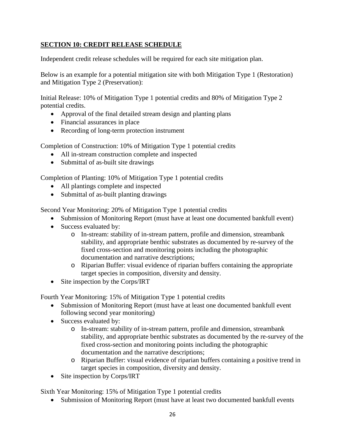#### <span id="page-25-0"></span>**SECTION 10: CREDIT RELEASE SCHEDULE**

Independent credit release schedules will be required for each site mitigation plan.

Below is an example for a potential mitigation site with both Mitigation Type 1 (Restoration) and Mitigation Type 2 (Preservation):

Initial Release: 10% of Mitigation Type 1 potential credits and 80% of Mitigation Type 2 potential credits.

- Approval of the final detailed stream design and planting plans
- Financial assurances in place
- Recording of long-term protection instrument

Completion of Construction: 10% of Mitigation Type 1 potential credits

- All in-stream construction complete and inspected
- Submittal of as-built site drawings

Completion of Planting: 10% of Mitigation Type 1 potential credits

- All plantings complete and inspected
- Submittal of as-built planting drawings

Second Year Monitoring: 20% of Mitigation Type 1 potential credits

- Submission of Monitoring Report (must have at least one documented bankfull event)
- Success evaluated by:
	- o In-stream: stability of in-stream pattern, profile and dimension, streambank stability, and appropriate benthic substrates as documented by re-survey of the fixed cross-section and monitoring points including the photographic documentation and narrative descriptions;
	- o Riparian Buffer: visual evidence of riparian buffers containing the appropriate target species in composition, diversity and density.
- Site inspection by the Corps/IRT

Fourth Year Monitoring: 15% of Mitigation Type 1 potential credits

- Submission of Monitoring Report (must have at least one documented bankfull event following second year monitoring)
- Success evaluated by:
	- o In-stream: stability of in-stream pattern, profile and dimension, streambank stability, and appropriate benthic substrates as documented by the re-survey of the fixed cross-section and monitoring points including the photographic documentation and the narrative descriptions;
	- o Riparian Buffer: visual evidence of riparian buffers containing a positive trend in target species in composition, diversity and density.
- Site inspection by Corps/IRT

Sixth Year Monitoring: 15% of Mitigation Type 1 potential credits

• Submission of Monitoring Report (must have at least two documented bankfull events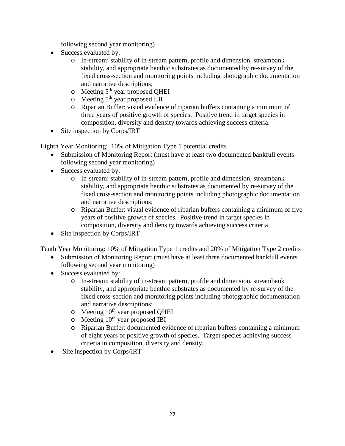following second year monitoring)

- Success evaluated by:
	- o In-stream: stability of in-stream pattern, profile and dimension, streambank stability, and appropriate benthic substrates as documented by re-survey of the fixed cross-section and monitoring points including photographic documentation and narrative descriptions;
	- o Meeting 5th year proposed QHEI
	- $\circ$  Meeting 5<sup>th</sup> year proposed IBI
	- o Riparian Buffer: visual evidence of riparian buffers containing a minimum of three years of positive growth of species. Positive trend in target species in composition, diversity and density towards achieving success criteria.
- Site inspection by Corps/IRT

Eighth Year Monitoring: 10% of Mitigation Type 1 potential credits

- Submission of Monitoring Report (must have at least two documented bankfull events following second year monitoring)
- Success evaluated by:
	- o In-stream: stability of in-stream pattern, profile and dimension, streambank stability, and appropriate benthic substrates as documented by re-survey of the fixed cross-section and monitoring points including photographic documentation and narrative descriptions;
	- o Riparian Buffer: visual evidence of riparian buffers containing a minimum of five years of positive growth of species. Positive trend in target species in composition, diversity and density towards achieving success criteria.
- Site inspection by Corps/IRT

Tenth Year Monitoring: 10% of Mitigation Type 1 credits and 20% of Mitigation Type 2 credits

- Submission of Monitoring Report (must have at least three documented bankfull events following second year monitoring)
- Success evaluated by:
	- o In-stream: stability of in-stream pattern, profile and dimension, streambank stability, and appropriate benthic substrates as documented by re-survey of the fixed cross-section and monitoring points including photographic documentation and narrative descriptions;
	- o Meeting 10<sup>th</sup> year proposed QHEI
	- $\circ$  Meeting 10<sup>th</sup> year proposed IBI
	- o Riparian Buffer: documented evidence of riparian buffers containing a minimum of eight years of positive growth of species. Target species achieving success criteria in composition, diversity and density.
- Site inspection by Corps/IRT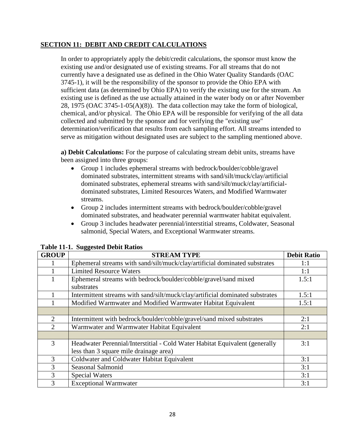#### <span id="page-27-0"></span>**SECTION 11: DEBIT AND CREDIT CALCULATIONS**

In order to appropriately apply the debit/credit calculations, the sponsor must know the existing use and/or designated use of existing streams. For all streams that do not currently have a designated use as defined in the Ohio Water Quality Standards (OAC 3745-1), it will be the responsibility of the sponsor to provide the Ohio EPA with sufficient data (as determined by Ohio EPA) to verify the existing use for the stream. An existing use is defined as the use actually attained in the water body on or after November 28, 1975 (OAC 3745-1-05(A)(8)). The data collection may take the form of biological, chemical, and/or physical. The Ohio EPA will be responsible for verifying of the all data collected and submitted by the sponsor and for verifying the "existing use" determination/verification that results from each sampling effort. All streams intended to serve as mitigation without designated uses are subject to the sampling mentioned above.

**a) Debit Calculations:** For the purpose of calculating stream debit units, streams have been assigned into three groups:

- Group 1 includes ephemeral streams with bedrock/boulder/cobble/gravel dominated substrates, intermittent streams with sand/silt/muck/clay/artificial dominated substrates, ephemeral streams with sand/silt/muck/clay/artificialdominated substrates, Limited Resources Waters, and Modified Warmwater streams.
- Group 2 includes intermittent streams with bedrock/boulder/cobble/gravel dominated substrates, and headwater perennial warmwater habitat equivalent.
- Group 3 includes headwater perennial/interstitial streams, Coldwater, Seasonal salmonid, Special Waters, and Exceptional Warmwater streams.

| <b>GROUP</b>   | <b>STREAM TYPE</b>                                                            | <b>Debit Ratio</b> |
|----------------|-------------------------------------------------------------------------------|--------------------|
|                | Ephemeral streams with sand/silt/muck/clay/artificial dominated substrates    | 1:1                |
|                | <b>Limited Resource Waters</b>                                                | 1:1                |
|                | Ephemeral streams with bedrock/boulder/cobble/gravel/sand mixed<br>substrates | 1.5:1              |
|                | Intermittent streams with sand/silt/muck/clay/artificial dominated substrates | 1.5:1              |
|                | Modified Warmwater and Modified Warmwater Habitat Equivalent                  | 1.5:1              |
|                |                                                                               |                    |
| $\overline{2}$ | Intermittent with bedrock/boulder/cobble/gravel/sand mixed substrates         | 2:1                |
| 2              | Warmwater and Warmwater Habitat Equivalent                                    |                    |
|                |                                                                               |                    |
| 3              | Headwater Perennial/Interstitial - Cold Water Habitat Equivalent (generally   | 3:1                |
|                | less than 3 square mile drainage area)                                        |                    |
| 3              | Coldwater and Coldwater Habitat Equivalent                                    | 3:1                |
| 3              | <b>Seasonal Salmonid</b>                                                      | 3:1                |
| 3              | <b>Special Waters</b>                                                         | 3:1                |
| 3              | <b>Exceptional Warmwater</b>                                                  | 3:1                |

**Table 11-1. Suggested Debit Ratios**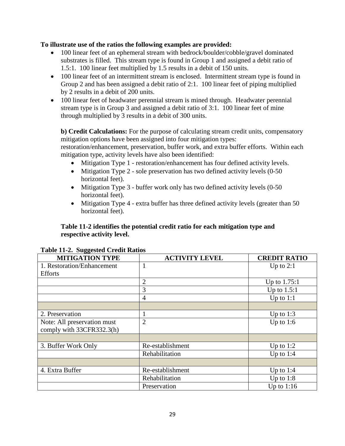#### **To illustrate use of the ratios the following examples are provided:**

- 100 linear feet of an ephemeral stream with bedrock/boulder/cobble/gravel dominated substrates is filled. This stream type is found in Group 1 and assigned a debit ratio of 1.5:1. 100 linear feet multiplied by 1.5 results in a debit of 150 units.
- 100 linear feet of an intermittent stream is enclosed. Intermittent stream type is found in Group 2 and has been assigned a debit ratio of 2:1. 100 linear feet of piping multiplied by 2 results in a debit of 200 units.
- 100 linear feet of headwater perennial stream is mined through. Headwater perennial stream type is in Group 3 and assigned a debit ratio of 3:1. 100 linear feet of mine through multiplied by 3 results in a debit of 300 units.

**b) Credit Calculations:** For the purpose of calculating stream credit units, compensatory mitigation options have been assigned into four mitigation types: restoration/enhancement, preservation, buffer work, and extra buffer efforts. Within each mitigation type, activity levels have also been identified:

- Mitigation Type 1 restoration/enhancement has four defined activity levels.
- Mitigation Type 2 sole preservation has two defined activity levels (0-50) horizontal feet).
- Mitigation Type 3 buffer work only has two defined activity levels (0-50) horizontal feet).
- Mitigation Type 4 extra buffer has three defined activity levels (greater than 50) horizontal feet).

#### **Table 11-2 identifies the potential credit ratio for each mitigation type and respective activity level.**

| <b>MITIGATION TYPE</b>      | <b>ACTIVITY LEVEL</b> | <b>CREDIT RATIO</b> |
|-----------------------------|-----------------------|---------------------|
| 1. Restoration/Enhancement  | 1                     | Up to $2:1$         |
| <b>Efforts</b>              |                       |                     |
|                             | $\overline{2}$        | Up to 1.75:1        |
|                             | 3                     | Up to $1.5:1$       |
|                             | 4                     | Up to $1:1$         |
|                             |                       |                     |
| 2. Preservation             | $\mathbf{1}$          | Up to $1:3$         |
| Note: All preservation must | $\overline{2}$        | Up to $1:6$         |
| comply with 33CFR332.3(h)   |                       |                     |
|                             |                       |                     |
| 3. Buffer Work Only         | Re-establishment      | Up to $1:2$         |
|                             | Rehabilitation        | Up to $1:4$         |
|                             |                       |                     |
| 4. Extra Buffer             | Re-establishment      | Up to $1:4$         |
|                             | Rehabilitation        | Up to $1:8$         |
|                             | Preservation          | Up to $1:16$        |

#### **Table 11-2. Suggested Credit Ratios**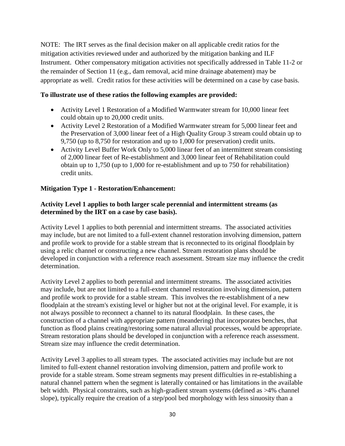NOTE: The IRT serves as the final decision maker on all applicable credit ratios for the mitigation activities reviewed under and authorized by the mitigation banking and ILF Instrument. Other compensatory mitigation activities not specifically addressed in Table 11-2 or the remainder of Section 11 (e.g., dam removal, acid mine drainage abatement) may be appropriate as well. Credit ratios for these activities will be determined on a case by case basis.

#### **To illustrate use of these ratios the following examples are provided:**

- Activity Level 1 Restoration of a Modified Warmwater stream for 10,000 linear feet could obtain up to 20,000 credit units.
- Activity Level 2 Restoration of a Modified Warmwater stream for 5,000 linear feet and the Preservation of 3,000 linear feet of a High Quality Group 3 stream could obtain up to 9,750 (up to 8,750 for restoration and up to 1,000 for preservation) credit units.
- Activity Level Buffer Work Only to 5,000 linear feet of an intermittent stream consisting of 2,000 linear feet of Re-establishment and 3,000 linear feet of Rehabilitation could obtain up to 1,750 (up to 1,000 for re-establishment and up to 750 for rehabilitation) credit units.

#### **Mitigation Type 1 - Restoration/Enhancement:**

#### **Activity Level 1 applies to both larger scale perennial and intermittent streams (as determined by the IRT on a case by case basis).**

Activity Level 1 applies to both perennial and intermittent streams. The associated activities may include, but are not limited to a full-extent channel restoration involving dimension, pattern and profile work to provide for a stable stream that is reconnected to its original floodplain by using a relic channel or constructing a new channel. Stream restoration plans should be developed in conjunction with a reference reach assessment. Stream size may influence the credit determination.

Activity Level 2 applies to both perennial and intermittent streams. The associated activities may include, but are not limited to a full-extent channel restoration involving dimension, pattern and profile work to provide for a stable stream. This involves the re-establishment of a new floodplain at the stream's existing level or higher but not at the original level. For example, it is not always possible to reconnect a channel to its natural floodplain. In these cases, the construction of a channel with appropriate pattern (meandering) that incorporates benches, that function as flood plains creating/restoring some natural alluvial processes, would be appropriate. Stream restoration plans should be developed in conjunction with a reference reach assessment. Stream size may influence the credit determination.

Activity Level 3 applies to all stream types. The associated activities may include but are not limited to full-extent channel restoration involving dimension, pattern and profile work to provide for a stable stream. Some stream segments may present difficulties in re-establishing a natural channel pattern when the segment is laterally contained or has limitations in the available belt width. Physical constraints, such as high-gradient stream systems (defined as >4% channel slope), typically require the creation of a step/pool bed morphology with less sinuosity than a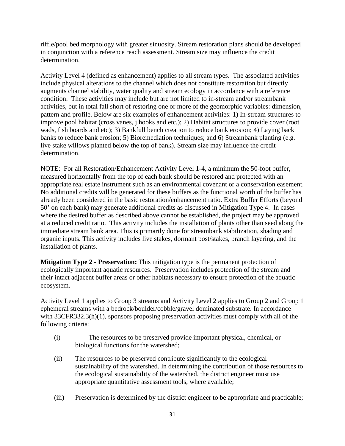riffle/pool bed morphology with greater sinuosity. Stream restoration plans should be developed in conjunction with a reference reach assessment. Stream size may influence the credit determination.

Activity Level 4 (defined as enhancement) applies to all stream types. The associated activities include physical alterations to the channel which does not constitute restoration but directly augments channel stability, water quality and stream ecology in accordance with a reference condition. These activities may include but are not limited to in-stream and/or streambank activities, but in total fall short of restoring one or more of the geomorphic variables: dimension, pattern and profile. Below are six examples of enhancement activities: 1) In-stream structures to improve pool habitat (cross vanes, j hooks and etc.); 2) Habitat structures to provide cover (root wads, fish boards and etc); 3) Bankfull bench creation to reduce bank erosion; 4) Laying back banks to reduce bank erosion; 5) Bioremediation techniques; and 6) Streambank planting (e.g. live stake willows planted below the top of bank). Stream size may influence the credit determination.

NOTE: For all Restoration/Enhancement Activity Level 1-4, a minimum the 50-foot buffer, measured horizontally from the top of each bank should be restored and protected with an appropriate real estate instrument such as an environmental covenant or a conservation easement. No additional credits will be generated for these buffers as the functional worth of the buffer has already been considered in the basic restoration/enhancement ratio. Extra Buffer Efforts (beyond 50' on each bank) may generate additional credits as discussed in Mitigation Type 4. In cases where the desired buffer as described above cannot be established, the project may be approved at a reduced credit ratio. This activity includes the installation of plants other than seed along the immediate stream bank area. This is primarily done for streambank stabilization, shading and organic inputs. This activity includes live stakes, dormant post/stakes, branch layering, and the installation of plants.

**Mitigation Type 2 - Preservation:** This mitigation type is the permanent protection of ecologically important aquatic resources. Preservation includes protection of the stream and their intact adjacent buffer areas or other habitats necessary to ensure protection of the aquatic ecosystem.

Activity Level 1 applies to Group 3 streams and Activity Level 2 applies to Group 2 and Group 1 ephemeral streams with a bedrock/boulder/cobble/gravel dominated substrate. In accordance with 33CFR332.3(h)(1), sponsors proposing preservation activities must comply with all of the following criteria:

- (i) The resources to be preserved provide important physical, chemical, or biological functions for the watershed;
- (ii) The resources to be preserved contribute significantly to the ecological sustainability of the watershed. In determining the contribution of those resources to the ecological sustainability of the watershed, the district engineer must use appropriate quantitative assessment tools, where available;
- (iii) Preservation is determined by the district engineer to be appropriate and practicable;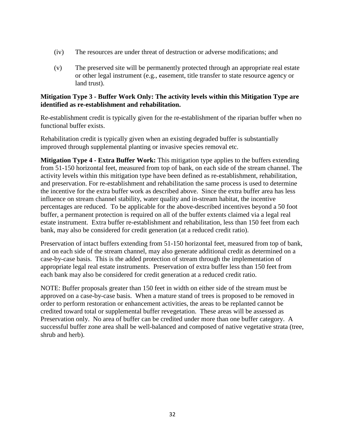- (iv) The resources are under threat of destruction or adverse modifications; and
- (v) The preserved site will be permanently protected through an appropriate real estate or other legal instrument (e.g., easement, title transfer to state resource agency or land trust).

#### **Mitigation Type 3 - Buffer Work Only: The activity levels within this Mitigation Type are identified as re-establishment and rehabilitation.**

Re-establishment credit is typically given for the re-establishment of the riparian buffer when no functional buffer exists.

Rehabilitation credit is typically given when an existing degraded buffer is substantially improved through supplemental planting or invasive species removal etc.

**Mitigation Type 4 - Extra Buffer Work:** This mitigation type applies to the buffers extending from 51-150 horizontal feet, measured from top of bank, on each side of the stream channel. The activity levels within this mitigation type have been defined as re-establishment, rehabilitation, and preservation. For re-establishment and rehabilitation the same process is used to determine the incentive for the extra buffer work as described above. Since the extra buffer area has less influence on stream channel stability, water quality and in-stream habitat, the incentive percentages are reduced. To be applicable for the above-described incentives beyond a 50 foot buffer, a permanent protection is required on all of the buffer extents claimed via a legal real estate instrument. Extra buffer re-establishment and rehabilitation, less than 150 feet from each bank, may also be considered for credit generation (at a reduced credit ratio).

Preservation of intact buffers extending from 51-150 horizontal feet, measured from top of bank, and on each side of the stream channel, may also generate additional credit as determined on a case-by-case basis. This is the added protection of stream through the implementation of appropriate legal real estate instruments. Preservation of extra buffer less than 150 feet from each bank may also be considered for credit generation at a reduced credit ratio.

NOTE: Buffer proposals greater than 150 feet in width on either side of the stream must be approved on a case-by-case basis. When a mature stand of trees is proposed to be removed in order to perform restoration or enhancement activities, the areas to be replanted cannot be credited toward total or supplemental buffer revegetation. These areas will be assessed as Preservation only. No area of buffer can be credited under more than one buffer category. A successful buffer zone area shall be well-balanced and composed of native vegetative strata (tree, shrub and herb).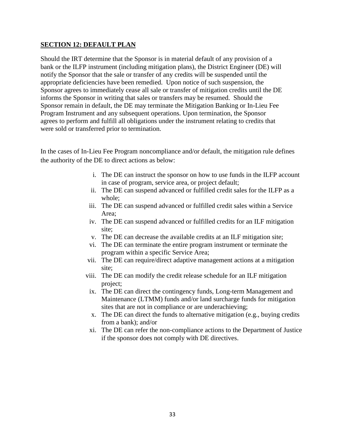#### <span id="page-32-0"></span>**SECTION 12: DEFAULT PLAN**

Should the IRT determine that the Sponsor is in material default of any provision of a bank or the ILFP instrument (including mitigation plans), the District Engineer (DE) will notify the Sponsor that the sale or transfer of any credits will be suspended until the appropriate deficiencies have been remedied. Upon notice of such suspension, the Sponsor agrees to immediately cease all sale or transfer of mitigation credits until the DE informs the Sponsor in writing that sales or transfers may be resumed. Should the Sponsor remain in default, the DE may terminate the Mitigation Banking or In-Lieu Fee Program Instrument and any subsequent operations. Upon termination, the Sponsor agrees to perform and fulfill all obligations under the instrument relating to credits that were sold or transferred prior to termination.

In the cases of In-Lieu Fee Program noncompliance and/or default, the mitigation rule defines the authority of the DE to direct actions as below:

- i. The DE can instruct the sponsor on how to use funds in the ILFP account in case of program, service area, or project default;
- ii. The DE can suspend advanced or fulfilled credit sales for the ILFP as a whole;
- iii. The DE can suspend advanced or fulfilled credit sales within a Service Area;
- iv. The DE can suspend advanced or fulfilled credits for an ILF mitigation site;
- v. The DE can decrease the available credits at an ILF mitigation site;
- vi. The DE can terminate the entire program instrument or terminate the program within a specific Service Area;
- vii. The DE can require/direct adaptive management actions at a mitigation site;
- viii. The DE can modify the credit release schedule for an ILF mitigation project;
- ix. The DE can direct the contingency funds, Long-term Management and Maintenance (LTMM) funds and/or land surcharge funds for mitigation sites that are not in compliance or are underachieving;
- x. The DE can direct the funds to alternative mitigation (e.g., buying credits from a bank); and/or
- xi. The DE can refer the non-compliance actions to the Department of Justice if the sponsor does not comply with DE directives.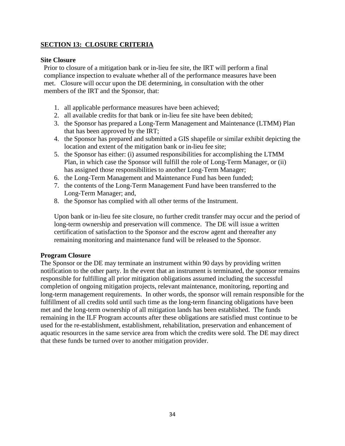#### <span id="page-33-0"></span>**SECTION 13: CLOSURE CRITERIA**

#### **Site Closure**

Prior to closure of a mitigation bank or in-lieu fee site, the IRT will perform a final compliance inspection to evaluate whether all of the performance measures have been met. Closure will occur upon the DE determining, in consultation with the other members of the IRT and the Sponsor, that:

- 1. all applicable performance measures have been achieved;
- 2. all available credits for that bank or in-lieu fee site have been debited;
- 3. the Sponsor has prepared a Long-Term Management and Maintenance (LTMM) Plan that has been approved by the IRT;
- 4. the Sponsor has prepared and submitted a GIS shapefile or similar exhibit depicting the location and extent of the mitigation bank or in-lieu fee site;
- 5. the Sponsor has either: (i) assumed responsibilities for accomplishing the LTMM Plan, in which case the Sponsor will fulfill the role of Long-Term Manager, or (ii) has assigned those responsibilities to another Long-Term Manager;
- 6. the Long-Term Management and Maintenance Fund has been funded;
- 7. the contents of the Long-Term Management Fund have been transferred to the Long-Term Manager; and,
- 8. the Sponsor has complied with all other terms of the Instrument.

Upon bank or in-lieu fee site closure, no further credit transfer may occur and the period of long-term ownership and preservation will commence. The DE will issue a written certification of satisfaction to the Sponsor and the escrow agent and thereafter any remaining monitoring and maintenance fund will be released to the Sponsor.

#### **Program Closure**

The Sponsor or the DE may terminate an instrument within 90 days by providing written notification to the other party. In the event that an instrument is terminated, the sponsor remains responsible for fulfilling all prior mitigation obligations assumed including the successful completion of ongoing mitigation projects, relevant maintenance, monitoring, reporting and long-term management requirements. In other words, the sponsor will remain responsible for the fulfillment of all credits sold until such time as the long-term financing obligations have been met and the long-term ownership of all mitigation lands has been established. The funds remaining in the ILF Program accounts after these obligations are satisfied must continue to be used for the re-establishment, establishment, rehabilitation, preservation and enhancement of aquatic resources in the same service area from which the credits were sold. The DE may direct that these funds be turned over to another mitigation provider.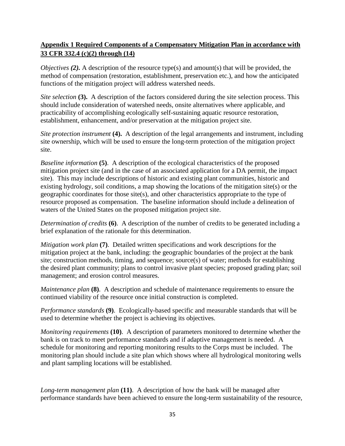### <span id="page-34-0"></span>**Appendix 1 Required Components of a Compensatory Mitigation Plan in accordance with 33 CFR 332.4 (c)(2) through (14)**

*Objectives (2).* A description of the resource type(s) and amount(s) that will be provided, the method of compensation (restoration, establishment, preservation etc.), and how the anticipated functions of the mitigation project will address watershed needs.

*Site selection* **(3).** A description of the factors considered during the site selection process. This should include consideration of watershed needs, onsite alternatives where applicable, and practicability of accomplishing ecologically self-sustaining aquatic resource restoration, establishment, enhancement, and/or preservation at the mitigation project site.

*Site protection instrument* **(4).** A description of the legal arrangements and instrument, including site ownership, which will be used to ensure the long-term protection of the mitigation project site.

*Baseline information* **(5)**. A description of the ecological characteristics of the proposed mitigation project site (and in the case of an associated application for a DA permit, the impact site). This may include descriptions of historic and existing plant communities, historic and existing hydrology, soil conditions, a map showing the locations of the mitigation site(s) or the geographic coordinates for those site(s), and other characteristics appropriate to the type of resource proposed as compensation. The baseline information should include a delineation of waters of the United States on the proposed mitigation project site.

*Determination of credits* **(6)**. A description of the number of credits to be generated including a brief explanation of the rationale for this determination.

*Mitigation work plan* **(7)**. Detailed written specifications and work descriptions for the mitigation project at the bank, including: the geographic boundaries of the project at the bank site; construction methods, timing, and sequence; source(s) of water; methods for establishing the desired plant community; plans to control invasive plant species; proposed grading plan; soil management; and erosion control measures.

*Maintenance plan* (8). A description and schedule of maintenance requirements to ensure the continued viability of the resource once initial construction is completed.

*Performance standards* **(9)**. Ecologically-based specific and measurable standards that will be used to determine whether the project is achieving its objectives.

*Monitoring requirements* **(10)**. A description of parameters monitored to determine whether the bank is on track to meet performance standards and if adaptive management is needed. A schedule for monitoring and reporting monitoring results to the Corps must be included. The monitoring plan should include a site plan which shows where all hydrological monitoring wells and plant sampling locations will be established.

*Long-term management plan* **(11)**. A description of how the bank will be managed after performance standards have been achieved to ensure the long-term sustainability of the resource,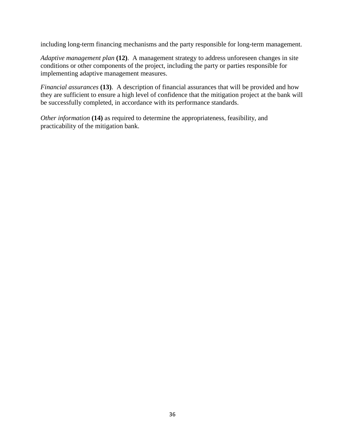including long-term financing mechanisms and the party responsible for long-term management.

*Adaptive management plan* **(12)**. A management strategy to address unforeseen changes in site conditions or other components of the project, including the party or parties responsible for implementing adaptive management measures.

*Financial assurances* **(13)**. A description of financial assurances that will be provided and how they are sufficient to ensure a high level of confidence that the mitigation project at the bank will be successfully completed, in accordance with its performance standards.

*Other information* **(14)** as required to determine the appropriateness, feasibility, and practicability of the mitigation bank.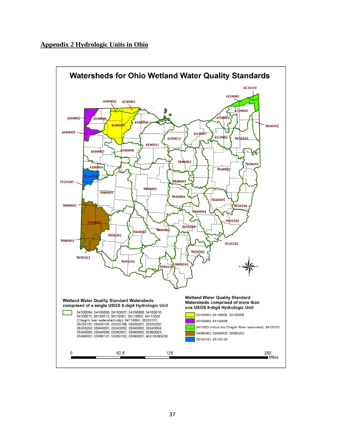<span id="page-36-0"></span>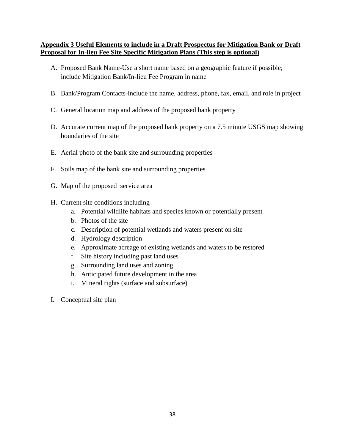#### <span id="page-37-0"></span>**Appendix 3 Useful Elements to include in a Draft Prospectus for Mitigation Bank or Draft Proposal for In-lieu Fee Site Specific Mitigation Plans (This step is optional)**

- A. Proposed Bank Name-Use a short name based on a geographic feature if possible; include Mitigation Bank/In-lieu Fee Program in name
- B. Bank/Program Contacts-include the name, address, phone, fax, email, and role in project
- C. General location map and address of the proposed bank property
- D. Accurate current map of the proposed bank property on a 7.5 minute USGS map showing boundaries of the site
- E. Aerial photo of the bank site and surrounding properties
- F. Soils map of the bank site and surrounding properties
- G. Map of the proposed service area
- H. Current site conditions including
	- a. Potential wildlife habitats and species known or potentially present
	- b. Photos of the site
	- c. Description of potential wetlands and waters present on site
	- d. Hydrology description
	- e. Approximate acreage of existing wetlands and waters to be restored
	- f. Site history including past land uses
	- g. Surrounding land uses and zoning
	- h. Anticipated future development in the area
	- i. Mineral rights (surface and subsurface)
- I. Conceptual site plan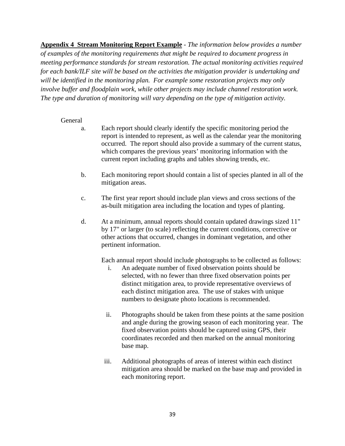<span id="page-38-0"></span>**Appendix 4 Stream Monitoring Report Example** *- The information below provides a number of examples of the monitoring requirements that might be required to document progress in meeting performance standards for stream restoration. The actual monitoring activities required for each bank/ILF site will be based on the activities the mitigation provider is undertaking and will be identified in the monitoring plan. For example some restoration projects may only involve buffer and floodplain work, while other projects may include channel restoration work. The type and duration of monitoring will vary depending on the type of mitigation activity.*

#### General

- a. Each report should clearly identify the specific monitoring period the report is intended to represent, as well as the calendar year the monitoring occurred. The report should also provide a summary of the current status, which compares the previous years' monitoring information with the current report including graphs and tables showing trends, etc.
- b. Each monitoring report should contain a list of species planted in all of the mitigation areas.
- c. The first year report should include plan views and cross sections of the as-built mitigation area including the location and types of planting.
- d. At a minimum, annual reports should contain updated drawings sized 11" by 17" or larger (to scale) reflecting the current conditions, corrective or other actions that occurred, changes in dominant vegetation, and other pertinent information.

Each annual report should include photographs to be collected as follows:

- i. An adequate number of fixed observation points should be selected, with no fewer than three fixed observation points per distinct mitigation area, to provide representative overviews of each distinct mitigation area. The use of stakes with unique numbers to designate photo locations is recommended.
- ii. Photographs should be taken from these points at the same position and angle during the growing season of each monitoring year. The fixed observation points should be captured using GPS, their coordinates recorded and then marked on the annual monitoring base map.
- iii. Additional photographs of areas of interest within each distinct mitigation area should be marked on the base map and provided in each monitoring report.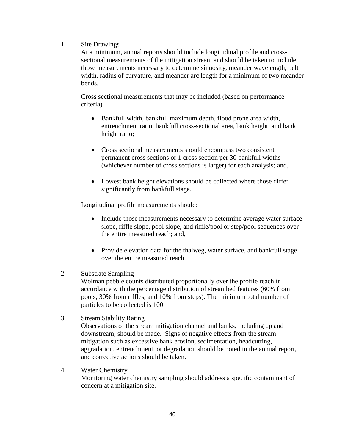#### 1. Site Drawings

At a minimum, annual reports should include longitudinal profile and crosssectional measurements of the mitigation stream and should be taken to include those measurements necessary to determine sinuosity, meander wavelength, belt width, radius of curvature, and meander arc length for a minimum of two meander bends.

Cross sectional measurements that may be included (based on performance criteria)

- Bankfull width, bankfull maximum depth, flood prone area width, entrenchment ratio, bankfull cross-sectional area, bank height, and bank height ratio;
- Cross sectional measurements should encompass two consistent permanent cross sections or 1 cross section per 30 bankfull widths (whichever number of cross sections is larger) for each analysis; and,
- Lowest bank height elevations should be collected where those differ significantly from bankfull stage.

Longitudinal profile measurements should:

- Include those measurements necessary to determine average water surface slope, riffle slope, pool slope, and riffle/pool or step/pool sequences over the entire measured reach; and,
- Provide elevation data for the thalweg, water surface, and bankfull stage over the entire measured reach.

#### 2. Substrate Sampling

Wolman pebble counts distributed proportionally over the profile reach in accordance with the percentage distribution of streambed features (60% from pools, 30% from riffles, and 10% from steps). The minimum total number of particles to be collected is 100.

3. Stream Stability Rating

Observations of the stream mitigation channel and banks, including up and downstream, should be made. Signs of negative effects from the stream mitigation such as excessive bank erosion, sedimentation, headcutting, aggradation, entrenchment, or degradation should be noted in the annual report, and corrective actions should be taken.

4. Water Chemistry

Monitoring water chemistry sampling should address a specific contaminant of concern at a mitigation site.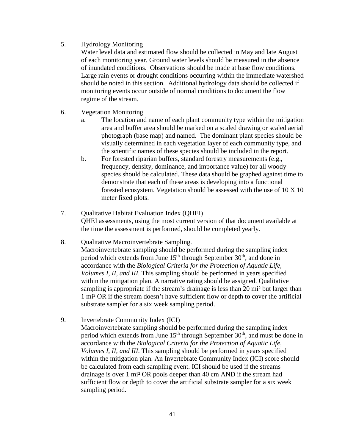5. Hydrology Monitoring

Water level data and estimated flow should be collected in May and late August of each monitoring year. Ground water levels should be measured in the absence of inundated conditions. Observations should be made at base flow conditions. Large rain events or drought conditions occurring within the immediate watershed should be noted in this section. Additional hydrology data should be collected if monitoring events occur outside of normal conditions to document the flow regime of the stream.

- 6. Vegetation Monitoring
	- a. The location and name of each plant community type within the mitigation area and buffer area should be marked on a scaled drawing or scaled aerial photograph (base map) and named. The dominant plant species should be visually determined in each vegetation layer of each community type, and the scientific names of these species should be included in the report.
	- b. For forested riparian buffers, standard forestry measurements (e.g., frequency, density, dominance, and importance value) for all woody species should be calculated. These data should be graphed against time to demonstrate that each of these areas is developing into a functional forested ecosystem. Vegetation should be assessed with the use of 10 X 10 meter fixed plots.
- 7. Qualitative Habitat Evaluation Index (QHEI) QHEI assessments, using the most current version of that document available at the time the assessment is performed, should be completed yearly.
- 8. Qualitative Macroinvertebrate Sampling. Macroinvertebrate sampling should be performed during the sampling index period which extends from June  $15<sup>th</sup>$  through September  $30<sup>th</sup>$ , and done in accordance with the *Biological Criteria for the Protection of Aquatic Life, Volumes I, II, and III*. This sampling should be performed in years specified within the mitigation plan. A narrative rating should be assigned. Qualitative sampling is appropriate if the stream's drainage is less than 20 mi<sup>2</sup> but larger than 1 mi² OR if the stream doesn't have sufficient flow or depth to cover the artificial substrate sampler for a six week sampling period.
- 9. Invertebrate Community Index (ICI) Macroinvertebrate sampling should be performed during the sampling index period which extends from June  $15<sup>th</sup>$  through September  $30<sup>th</sup>$ , and must be done in accordance with the *Biological Criteria for the Protection of Aquatic Life, Volumes I, II, and III*. This sampling should be performed in years specified within the mitigation plan. An Invertebrate Community Index (ICI) score should be calculated from each sampling event. ICI should be used if the streams drainage is over 1 mi² OR pools deeper than 40 cm AND if the stream had sufficient flow or depth to cover the artificial substrate sampler for a six week sampling period.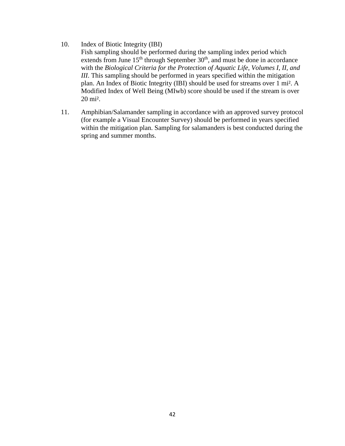#### 10. Index of Biotic Integrity (IBI)

- Fish sampling should be performed during the sampling index period which extends from June  $15<sup>th</sup>$  through September  $30<sup>th</sup>$ , and must be done in accordance with the *Biological Criteria for the Protection of Aquatic Life, Volumes I, II, and III*. This sampling should be performed in years specified within the mitigation plan. An Index of Biotic Integrity (IBI) should be used for streams over 1 mi². A Modified Index of Well Being (MIwb) score should be used if the stream is over 20 mi².
- 11. Amphibian/Salamander sampling in accordance with an approved survey protocol (for example a Visual Encounter Survey) should be performed in years specified within the mitigation plan. Sampling for salamanders is best conducted during the spring and summer months.